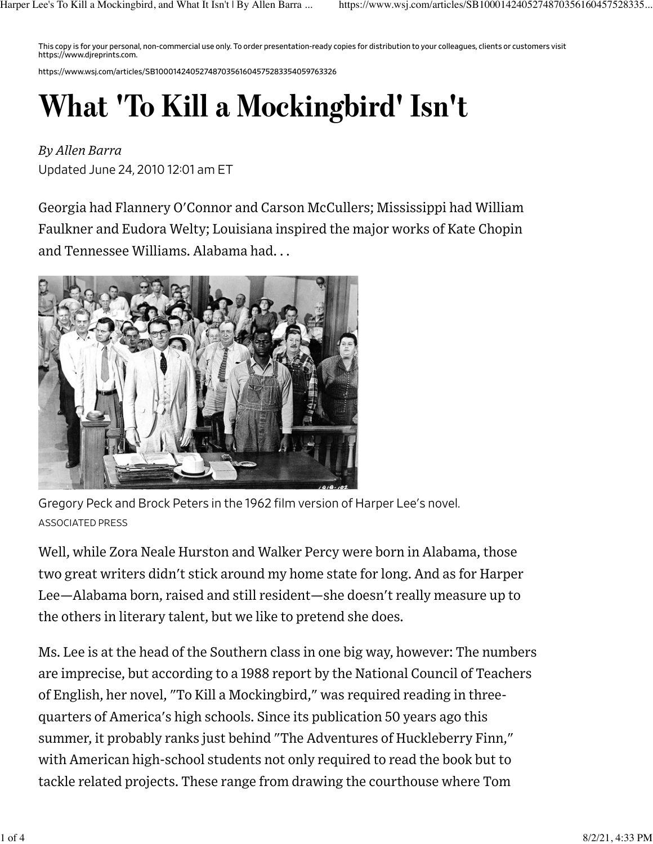This copy is for your personal, non-commercial use only. To order presentation-ready copies for distribution to your colleagues, clients or customers visit https://www.djreprints.com.

https://www.wsj.com/articles/SB10001424052748703561604575283354059763326

## What 'To Kill a Mockingbird' Isn't

*By Allen Barra* Updated June 24, 2010 12:01 am ET

Georgia had Flannery O'Connor and Carson McCullers; Mississippi had William Faulkner and Eudora Welty; Louisiana inspired the major works of Kate Chopin and Tennessee Williams. Alabama had. . .



Gregory Peck and Brock Peters in the 1962 film version of Harper Lee's novel. ASSOCIATED PRESS

Well, while Zora Neale Hurston and Walker Percy were born in Alabama, those two great writers didn't stick around my home state for long. And as for Harper Lee—Alabama born, raised and still resident—she doesn't really measure up to the others in literary talent, but we like to pretend she does.

Ms. Lee is at the head of the Southern class in one big way, however: The numbers are imprecise, but according to a 1988 report by the National Council of Teachers of English, her novel, "To Kill a Mockingbird," was required reading in threequarters of America's high schools. Since its publication 50 years ago this summer, it probably ranks just behind "The Adventures of Huckleberry Finn," with American high-school students not only required to read the book but to tackle related projects. These range from drawing the courthouse where Tom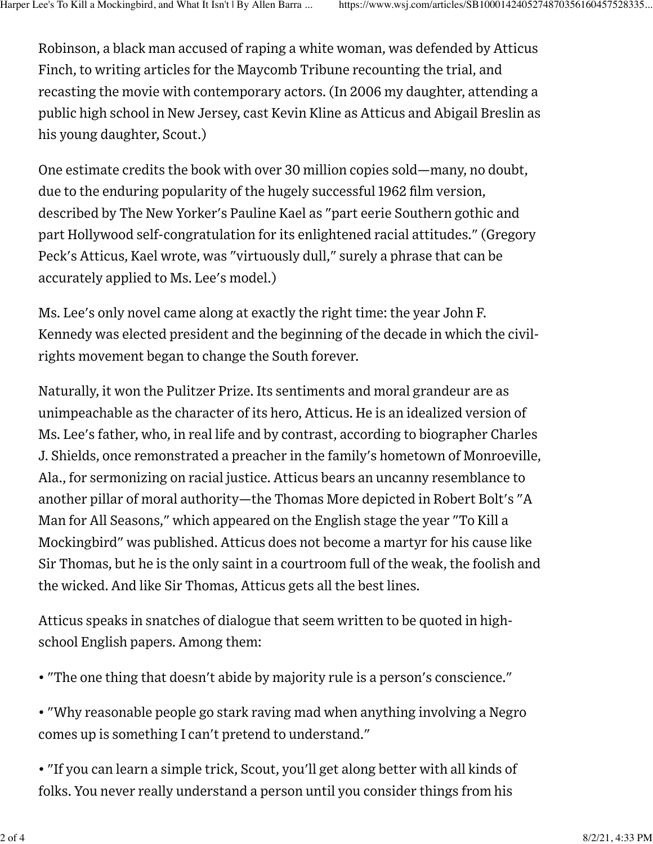Robinson, a black man accused of raping a white woman, was defended by Atticus Finch, to writing articles for the Maycomb Tribune recounting the trial, and recasting the movie with contemporary actors. (In 2006 my daughter, attending a public high school in New Jersey, cast Kevin Kline as Atticus and Abigail Breslin as his young daughter, Scout.)

One estimate credits the book with over 30 million copies sold—many, no doubt, due to the enduring popularity of the hugely successful 1962 film version, described by The New Yorker's Pauline Kael as "part eerie Southern gothic and part Hollywood self-congratulation for its enlightened racial attitudes." (Gregory Peck's Atticus, Kael wrote, was "virtuously dull," surely a phrase that can be accurately applied to Ms. Lee's model.)

Ms. Lee's only novel came along at exactly the right time: the year John F. Kennedy was elected president and the beginning of the decade in which the civilrights movement began to change the South forever.

Naturally, it won the Pulitzer Prize. Its sentiments and moral grandeur are as unimpeachable as the character of its hero, Atticus. He is an idealized version of Ms. Lee's father, who, in real life and by contrast, according to biographer Charles J. Shields, once remonstrated a preacher in the family's hometown of Monroeville, Ala., for sermonizing on racial justice. Atticus bears an uncanny resemblance to another pillar of moral authority—the Thomas More depicted in Robert Bolt's "A Man for All Seasons," which appeared on the English stage the year "To Kill a Mockingbird" was published. Atticus does not become a martyr for his cause like Sir Thomas, but he is the only saint in a courtroom full of the weak, the foolish and the wicked. And like Sir Thomas, Atticus gets all the best lines.

Atticus speaks in snatches of dialogue that seem written to be quoted in highschool English papers. Among them:

- "The one thing that doesn't abide by majority rule is a person's conscience."
- "Why reasonable people go stark raving mad when anything involving a Negro comes up is something I can't pretend to understand."
- "If you can learn a simple trick, Scout, you'll get along better with all kinds of folks. You never really understand a person until you consider things from his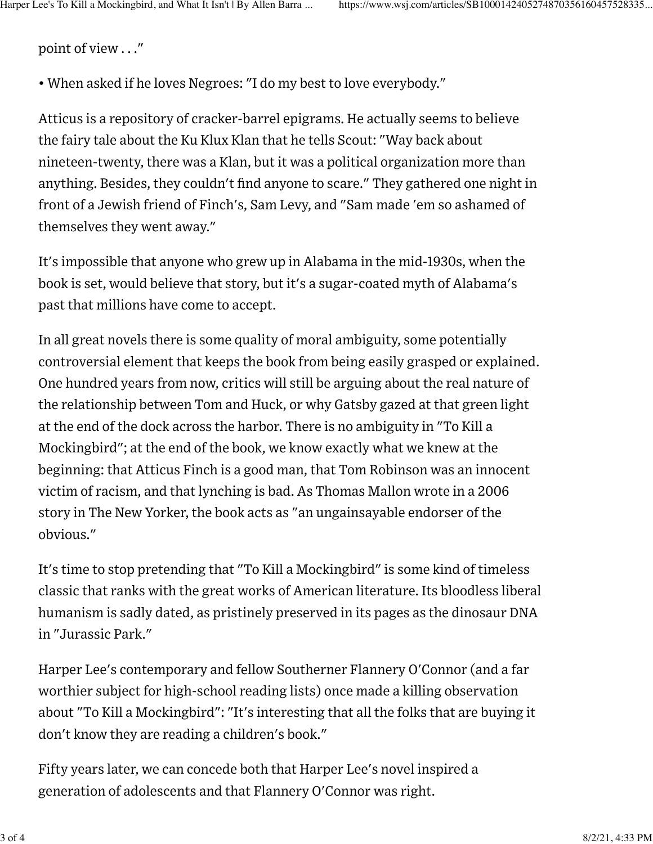point of view . . ."

• When asked if he loves Negroes: "I do my best to love everybody."

Atticus is a repository of cracker-barrel epigrams. He actually seems to believe the fairy tale about the Ku Klux Klan that he tells Scout: "Way back about nineteen-twenty, there was a Klan, but it was a political organization more than anything. Besides, they couldn't find anyone to scare." They gathered one night in front of a Jewish friend of Finch's, Sam Levy, and "Sam made 'em so ashamed of themselves they went away."

It's impossible that anyone who grew up in Alabama in the mid-1930s, when the book is set, would believe that story, but it's a sugar-coated myth of Alabama's past that millions have come to accept.

In all great novels there is some quality of moral ambiguity, some potentially controversial element that keeps the book from being easily grasped or explained. One hundred years from now, critics will still be arguing about the real nature of the relationship between Tom and Huck, or why Gatsby gazed at that green light at the end of the dock across the harbor. There is no ambiguity in "To Kill a Mockingbird"; at the end of the book, we know exactly what we knew at the beginning: that Atticus Finch is a good man, that Tom Robinson was an innocent victim of racism, and that lynching is bad. As Thomas Mallon wrote in a 2006 story in The New Yorker, the book acts as "an ungainsayable endorser of the obvious."

It's time to stop pretending that "To Kill a Mockingbird" is some kind of timeless classic that ranks with the great works of American literature. Its bloodless liberal humanism is sadly dated, as pristinely preserved in its pages as the dinosaur DNA in "Jurassic Park."

Harper Lee's contemporary and fellow Southerner Flannery O'Connor (and a far worthier subject for high-school reading lists) once made a killing observation about "To Kill a Mockingbird": "It's interesting that all the folks that are buying it don't know they are reading a children's book."

Fifty years later, we can concede both that Harper Lee's novel inspired a generation of adolescents and that Flannery O'Connor was right.